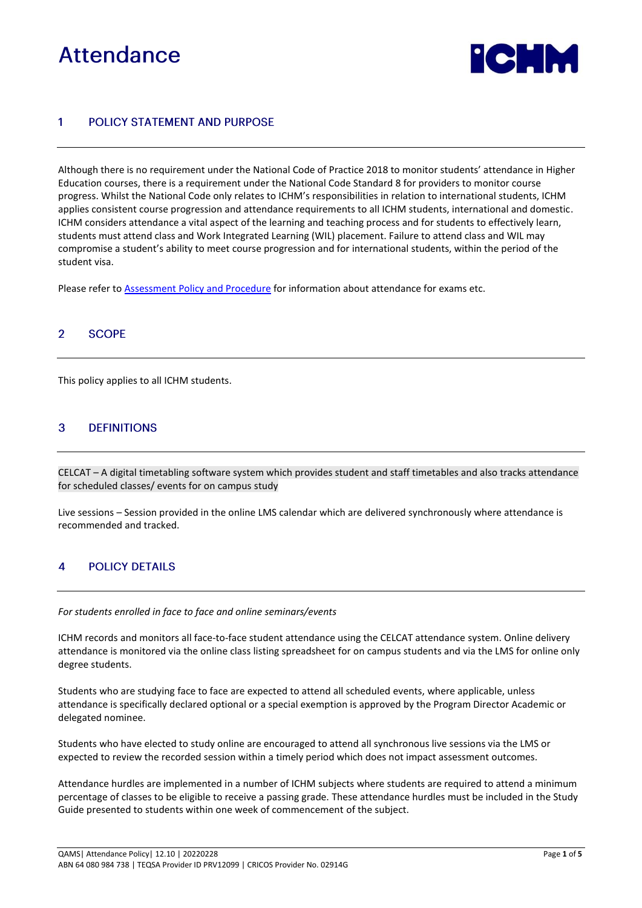# Attendance



### POLICY STATEMENT AND PURPOSE 1

Although there is no requirement under the National Code of Practice 2018 to monitor students' attendance in Higher Education courses, there is a requirement under the National Code Standard 8 for providers to monitor course progress. Whilst the National Code only relates to ICHM's responsibilities in relation to international students, ICHM applies consistent course progression and attendance requirements to all ICHM students, international and domestic. ICHM considers attendance a vital aspect of the learning and teaching process and for students to effectively learn, students must attend class and Work Integrated Learning (WIL) placement. Failure to attend class and WIL may compromise a student's ability to meet course progression and for international students, within the period of the student visa.

Please refer to **Assessment [Policy and Procedure](https://www.ichm.edu.au/about-ichm/student-policies-and-procedures)** for information about attendance for exams etc.

### **SCOPE**  $\overline{2}$

This policy applies to all ICHM students.

### 3 **DEFINITIONS**

CELCAT – A digital timetabling software system which provides student and staff timetables and also tracks attendance for scheduled classes/ events for on campus study

Live sessions – Session provided in the online LMS calendar which are delivered synchronously where attendance is recommended and tracked.

### **POLICY DETAILS**  $\boldsymbol{A}$

### *For students enrolled in face to face and online seminars/events*

ICHM records and monitors all face-to-face student attendance using the CELCAT attendance system. Online delivery attendance is monitored via the online class listing spreadsheet for on campus students and via the LMS for online only degree students.

Students who are studying face to face are expected to attend all scheduled events, where applicable, unless attendance is specifically declared optional or a special exemption is approved by the Program Director Academic or delegated nominee.

Students who have elected to study online are encouraged to attend all synchronous live sessions via the LMS or expected to review the recorded session within a timely period which does not impact assessment outcomes.

Attendance hurdles are implemented in a number of ICHM subjects where students are required to attend a minimum percentage of classes to be eligible to receive a passing grade. These attendance hurdles must be included in the Study Guide presented to students within one week of commencement of the subject.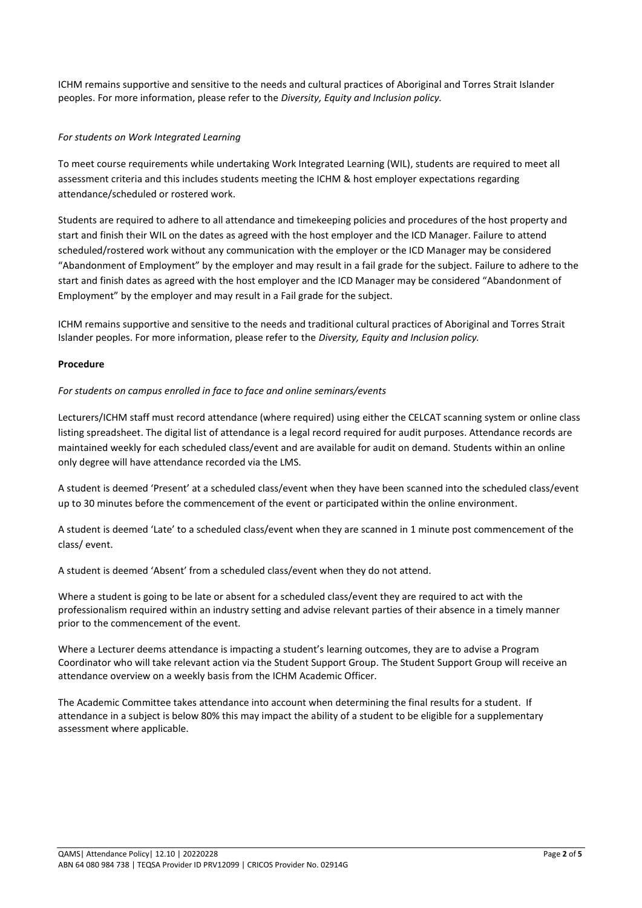ICHM remains supportive and sensitive to the needs and cultural practices of Aboriginal and Torres Strait Islander peoples. For more information, please refer to the *Diversity, Equity and Inclusion policy.*

# *For students on Work Integrated Learning*

To meet course requirements while undertaking Work Integrated Learning (WIL), students are required to meet all assessment criteria and this includes students meeting the ICHM & host employer expectations regarding attendance/scheduled or rostered work.

Students are required to adhere to all attendance and timekeeping policies and procedures of the host property and start and finish their WIL on the dates as agreed with the host employer and the ICD Manager. Failure to attend scheduled/rostered work without any communication with the employer or the ICD Manager may be considered "Abandonment of Employment" by the employer and may result in a fail grade for the subject. Failure to adhere to the start and finish dates as agreed with the host employer and the ICD Manager may be considered "Abandonment of Employment" by the employer and may result in a Fail grade for the subject.

ICHM remains supportive and sensitive to the needs and traditional cultural practices of Aboriginal and Torres Strait Islander peoples. For more information, please refer to the *Diversity, Equity and Inclusion policy.*

## **Procedure**

## *For students on campus enrolled in face to face and online seminars/events*

Lecturers/ICHM staff must record attendance (where required) using either the CELCAT scanning system or online class listing spreadsheet. The digital list of attendance is a legal record required for audit purposes. Attendance records are maintained weekly for each scheduled class/event and are available for audit on demand. Students within an online only degree will have attendance recorded via the LMS.

A student is deemed 'Present' at a scheduled class/event when they have been scanned into the scheduled class/event up to 30 minutes before the commencement of the event or participated within the online environment.

A student is deemed 'Late' to a scheduled class/event when they are scanned in 1 minute post commencement of the class/ event.

A student is deemed 'Absent' from a scheduled class/event when they do not attend.

Where a student is going to be late or absent for a scheduled class/event they are required to act with the professionalism required within an industry setting and advise relevant parties of their absence in a timely manner prior to the commencement of the event.

Where a Lecturer deems attendance is impacting a student's learning outcomes, they are to advise a Program Coordinator who will take relevant action via the Student Support Group. The Student Support Group will receive an attendance overview on a weekly basis from the ICHM Academic Officer.

The Academic Committee takes attendance into account when determining the final results for a student. If attendance in a subject is below 80% this may impact the ability of a student to be eligible for a supplementary assessment where applicable.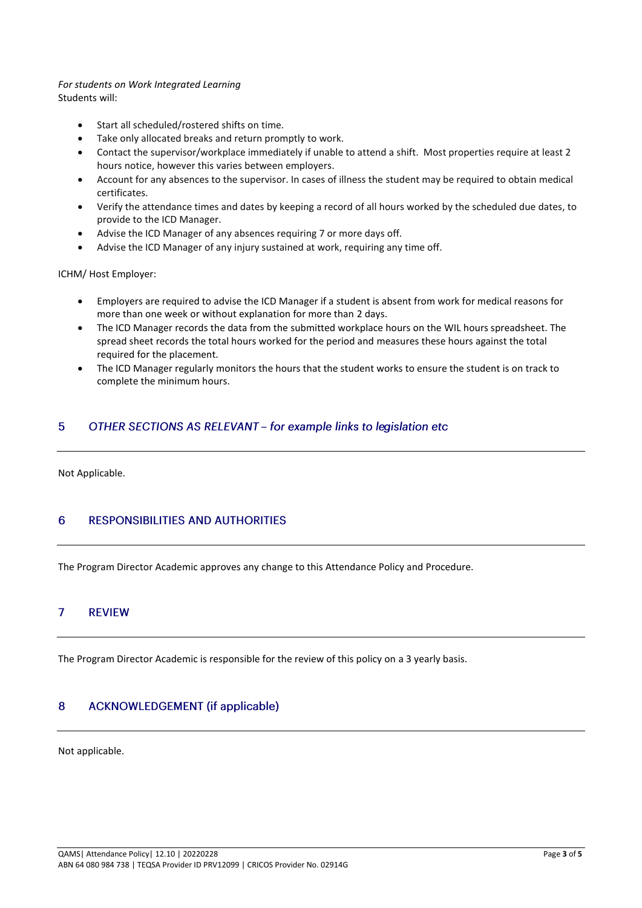### *For students on Work Integrated Learning* Students will:

- Start all scheduled/rostered shifts on time.
- Take only allocated breaks and return promptly to work.
- Contact the supervisor/workplace immediately if unable to attend a shift. Most properties require at least 2 hours notice, however this varies between employers.
- Account for any absences to the supervisor. In cases of illness the student may be required to obtain medical certificates.
- Verify the attendance times and dates by keeping a record of all hours worked by the scheduled due dates, to provide to the ICD Manager.
- Advise the ICD Manager of any absences requiring 7 or more days off.
- Advise the ICD Manager of any injury sustained at work, requiring any time off.

ICHM/ Host Employer:

- Employers are required to advise the ICD Manager if a student is absent from work for medical reasons for more than one week or without explanation for more than 2 days.
- The ICD Manager records the data from the submitted workplace hours on the WIL hours spreadsheet. The spread sheet records the total hours worked for the period and measures these hours against the total required for the placement.
- The ICD Manager regularly monitors the hours that the student works to ensure the student is on track to complete the minimum hours.

### OTHER SECTIONS AS RELEVANT - for example links to legislation etc 5

Not Applicable.

### **RESPONSIBILITIES AND AUTHORITIES** 6

The Program Director Academic approves any change to this Attendance Policy and Procedure.

#### $\overline{7}$ **REVIEW**

The Program Director Academic is responsible for the review of this policy on a 3 yearly basis.

#### $\overline{8}$ **ACKNOWLEDGEMENT** (if applicable)

Not applicable.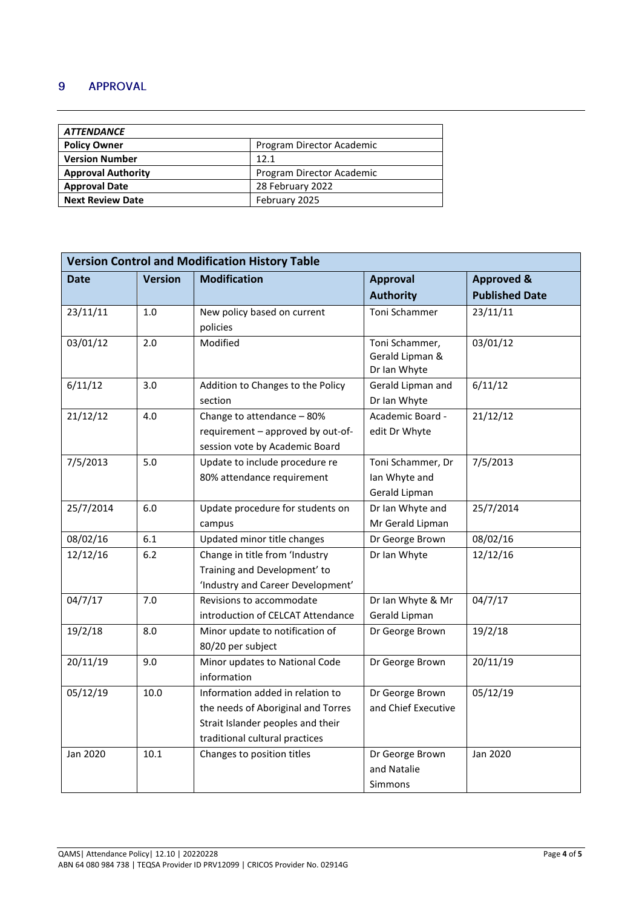### 9 **APPROVAL**

| <i><b>ATTENDANCE</b></i>  |                           |  |  |  |
|---------------------------|---------------------------|--|--|--|
| <b>Policy Owner</b>       | Program Director Academic |  |  |  |
| <b>Version Number</b>     | 12.1                      |  |  |  |
| <b>Approval Authority</b> | Program Director Academic |  |  |  |
| <b>Approval Date</b>      | 28 February 2022          |  |  |  |
| <b>Next Review Date</b>   | February 2025             |  |  |  |

| <b>Version Control and Modification History Table</b> |                |                                    |                     |                       |  |  |
|-------------------------------------------------------|----------------|------------------------------------|---------------------|-----------------------|--|--|
| Date                                                  | <b>Version</b> | <b>Modification</b>                | <b>Approval</b>     | <b>Approved &amp;</b> |  |  |
|                                                       |                |                                    | <b>Authority</b>    | <b>Published Date</b> |  |  |
| 23/11/11                                              | $1.0$          | New policy based on current        | Toni Schammer       | 23/11/11              |  |  |
|                                                       |                | policies                           |                     |                       |  |  |
| 03/01/12                                              | 2.0            | Modified                           | Toni Schammer,      | 03/01/12              |  |  |
|                                                       |                |                                    | Gerald Lipman &     |                       |  |  |
|                                                       |                |                                    | Dr Ian Whyte        |                       |  |  |
| 6/11/12                                               | 3.0            | Addition to Changes to the Policy  | Gerald Lipman and   | 6/11/12               |  |  |
|                                                       |                | section                            | Dr Ian Whyte        |                       |  |  |
| 21/12/12                                              | 4.0            | Change to attendance - 80%         | Academic Board -    | 21/12/12              |  |  |
|                                                       |                | requirement - approved by out-of-  | edit Dr Whyte       |                       |  |  |
|                                                       |                | session vote by Academic Board     |                     |                       |  |  |
| 7/5/2013                                              | 5.0            | Update to include procedure re     | Toni Schammer, Dr   | 7/5/2013              |  |  |
|                                                       |                | 80% attendance requirement         | Ian Whyte and       |                       |  |  |
|                                                       |                |                                    | Gerald Lipman       |                       |  |  |
| 25/7/2014                                             | 6.0            | Update procedure for students on   | Dr Ian Whyte and    | 25/7/2014             |  |  |
|                                                       |                | campus                             | Mr Gerald Lipman    |                       |  |  |
| 08/02/16                                              | 6.1            | Updated minor title changes        | Dr George Brown     | 08/02/16              |  |  |
| 12/12/16                                              | 6.2            | Change in title from 'Industry     | Dr Ian Whyte        | 12/12/16              |  |  |
|                                                       |                | Training and Development' to       |                     |                       |  |  |
|                                                       |                | 'Industry and Career Development'  |                     |                       |  |  |
| 04/7/17                                               | 7.0            | Revisions to accommodate           | Dr Ian Whyte & Mr   | 04/7/17               |  |  |
|                                                       |                | introduction of CELCAT Attendance  | Gerald Lipman       |                       |  |  |
| 19/2/18                                               | 8.0            | Minor update to notification of    | Dr George Brown     | 19/2/18               |  |  |
|                                                       |                | 80/20 per subject                  |                     |                       |  |  |
| 20/11/19                                              | 9.0            | Minor updates to National Code     | Dr George Brown     | 20/11/19              |  |  |
|                                                       |                | information                        |                     |                       |  |  |
| 05/12/19                                              | 10.0           | Information added in relation to   | Dr George Brown     | 05/12/19              |  |  |
|                                                       |                | the needs of Aboriginal and Torres | and Chief Executive |                       |  |  |
|                                                       |                | Strait Islander peoples and their  |                     |                       |  |  |
|                                                       |                | traditional cultural practices     |                     |                       |  |  |
| Jan 2020                                              | 10.1           | Changes to position titles         | Dr George Brown     | Jan 2020              |  |  |
|                                                       |                |                                    | and Natalie         |                       |  |  |
|                                                       |                |                                    | Simmons             |                       |  |  |